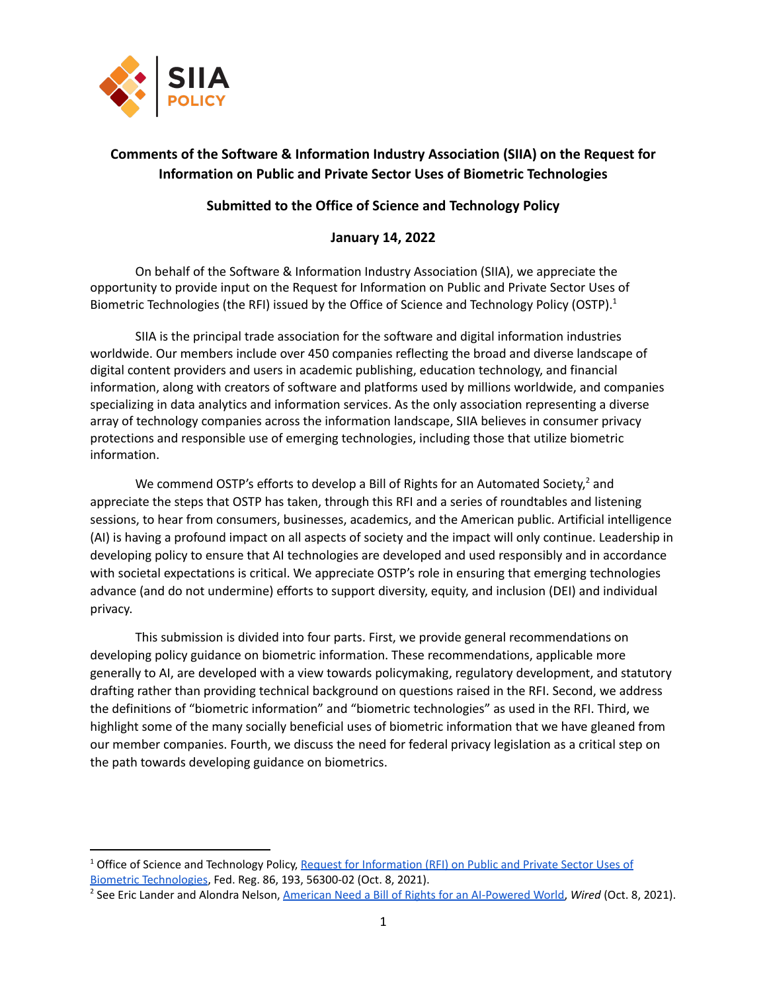

# **Comments of the Software & Information Industry Association (SIIA) on the Request for Information on Public and Private Sector Uses of Biometric Technologies**

# **Submitted to the Office of Science and Technology Policy**

# **January 14, 2022**

On behalf of the Software & Information Industry Association (SIIA), we appreciate the opportunity to provide input on the Request for Information on Public and Private Sector Uses of Biometric Technologies (the RFI) issued by the Office of Science and Technology Policy (OSTP).<sup>1</sup>

SIIA is the principal trade association for the software and digital information industries worldwide. Our members include over 450 companies reflecting the broad and diverse landscape of digital content providers and users in academic publishing, education technology, and financial information, along with creators of software and platforms used by millions worldwide, and companies specializing in data analytics and information services. As the only association representing a diverse array of technology companies across the information landscape, SIIA believes in consumer privacy protections and responsible use of emerging technologies, including those that utilize biometric information.

We commend OSTP's efforts to develop a Bill of Rights for an Automated Society,<sup>2</sup> and appreciate the steps that OSTP has taken, through this RFI and a series of roundtables and listening sessions, to hear from consumers, businesses, academics, and the American public. Artificial intelligence (AI) is having a profound impact on all aspects of society and the impact will only continue. Leadership in developing policy to ensure that AI technologies are developed and used responsibly and in accordance with societal expectations is critical. We appreciate OSTP's role in ensuring that emerging technologies advance (and do not undermine) efforts to support diversity, equity, and inclusion (DEI) and individual privacy.

This submission is divided into four parts. First, we provide general recommendations on developing policy guidance on biometric information. These recommendations, applicable more generally to AI, are developed with a view towards policymaking, regulatory development, and statutory drafting rather than providing technical background on questions raised in the RFI. Second, we address the definitions of "biometric information" and "biometric technologies" as used in the RFI. Third, we highlight some of the many socially beneficial uses of biometric information that we have gleaned from our member companies. Fourth, we discuss the need for federal privacy legislation as a critical step on the path towards developing guidance on biometrics.

<sup>&</sup>lt;sup>1</sup> Office of Science and Technology Policy, Request for [Information](https://www.govinfo.gov/content/pkg/FR-2021-10-08/pdf/2021-21975.pdf) (RFI) on Public and Private Sector Uses of Biometric [Technologies,](https://www.govinfo.gov/content/pkg/FR-2021-10-08/pdf/2021-21975.pdf) Fed. Reg. 86, 193, 56300-02 (Oct. 8, 2021).

<sup>2</sup> See Eric Lander and Alondra Nelson, American Need a Bill of Rights for an [AI-Powered](https://www.wired.com/story/opinion-bill-of-rights-artificial-intelligence/) World, *Wired* (Oct. 8, 2021).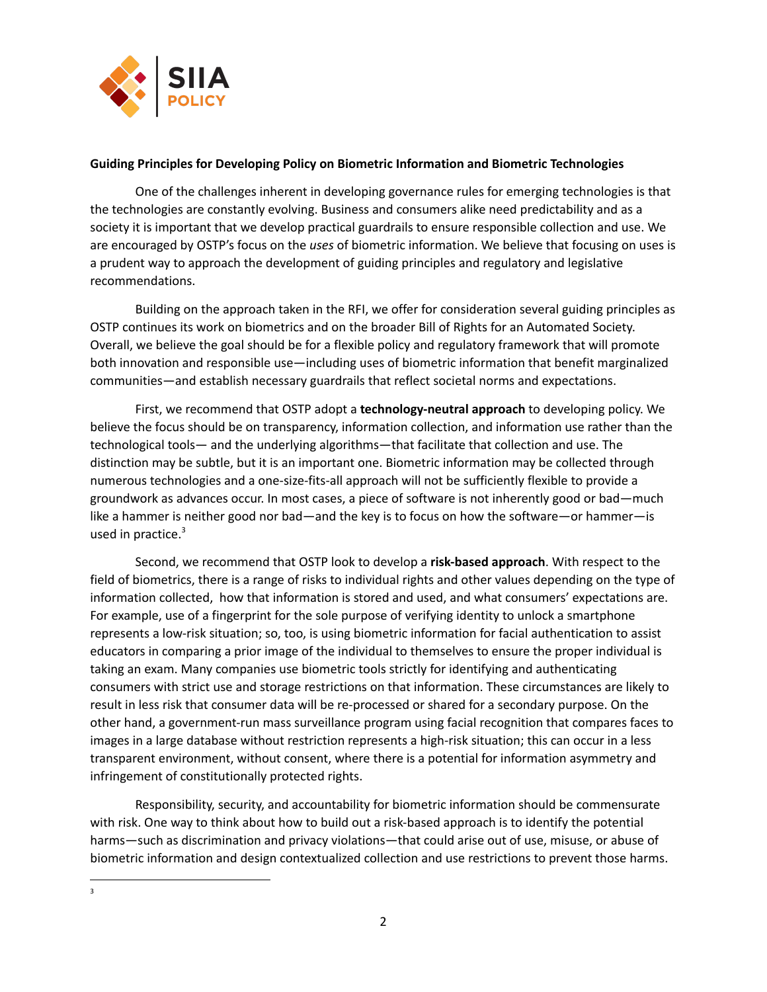

# **Guiding Principles for Developing Policy on Biometric Information and Biometric Technologies**

One of the challenges inherent in developing governance rules for emerging technologies is that the technologies are constantly evolving. Business and consumers alike need predictability and as a society it is important that we develop practical guardrails to ensure responsible collection and use. We are encouraged by OSTP's focus on the *uses* of biometric information. We believe that focusing on uses is a prudent way to approach the development of guiding principles and regulatory and legislative recommendations.

Building on the approach taken in the RFI, we offer for consideration several guiding principles as OSTP continues its work on biometrics and on the broader Bill of Rights for an Automated Society. Overall, we believe the goal should be for a flexible policy and regulatory framework that will promote both innovation and responsible use—including uses of biometric information that benefit marginalized communities—and establish necessary guardrails that reflect societal norms and expectations.

First, we recommend that OSTP adopt a **technology-neutral approach** to developing policy. We believe the focus should be on transparency, information collection, and information use rather than the technological tools— and the underlying algorithms—that facilitate that collection and use. The distinction may be subtle, but it is an important one. Biometric information may be collected through numerous technologies and a one-size-fits-all approach will not be sufficiently flexible to provide a groundwork as advances occur. In most cases, a piece of software is not inherently good or bad—much like a hammer is neither good nor bad—and the key is to focus on how the software—or hammer—is used in practice. 3

Second, we recommend that OSTP look to develop a **risk-based approach**. With respect to the field of biometrics, there is a range of risks to individual rights and other values depending on the type of information collected, how that information is stored and used, and what consumers' expectations are. For example, use of a fingerprint for the sole purpose of verifying identity to unlock a smartphone represents a low-risk situation; so, too, is using biometric information for facial authentication to assist educators in comparing a prior image of the individual to themselves to ensure the proper individual is taking an exam. Many companies use biometric tools strictly for identifying and authenticating consumers with strict use and storage restrictions on that information. These circumstances are likely to result in less risk that consumer data will be re-processed or shared for a secondary purpose. On the other hand, a government-run mass surveillance program using facial recognition that compares faces to images in a large database without restriction represents a high-risk situation; this can occur in a less transparent environment, without consent, where there is a potential for information asymmetry and infringement of constitutionally protected rights.

Responsibility, security, and accountability for biometric information should be commensurate with risk. One way to think about how to build out a risk-based approach is to identify the potential harms—such as discrimination and privacy violations—that could arise out of use, misuse, or abuse of biometric information and design contextualized collection and use restrictions to prevent those harms.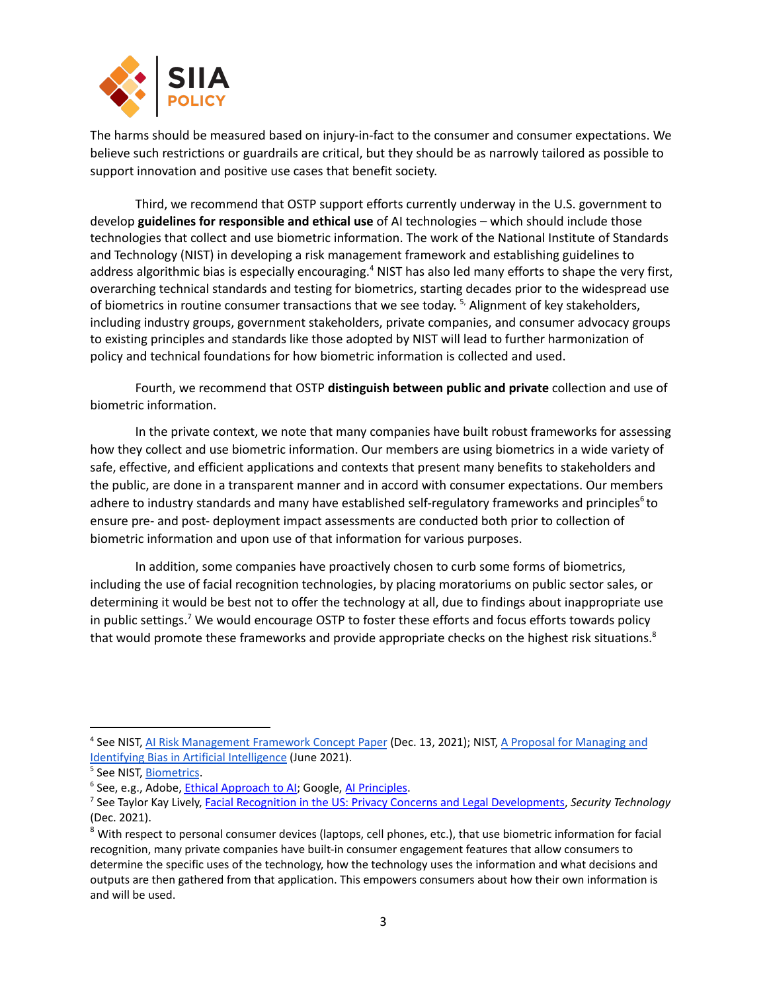

The harms should be measured based on injury-in-fact to the consumer and consumer expectations. We believe such restrictions or guardrails are critical, but they should be as narrowly tailored as possible to support innovation and positive use cases that benefit society.

Third, we recommend that OSTP support efforts currently underway in the U.S. government to develop **guidelines for responsible and ethical use** of AI technologies – which should include those technologies that collect and use biometric information. The work of the National Institute of Standards and Technology (NIST) in developing a risk management framework and establishing guidelines to address algorithmic bias is especially encouraging.<sup>4</sup> NIST has also led many efforts to shape the very first, overarching technical standards and testing for biometrics, starting decades prior to the widespread use of biometrics in routine consumer transactions that we see today. <sup>5,</sup> Alignment of key stakeholders, including industry groups, government stakeholders, private companies, and consumer advocacy groups to existing principles and standards like those adopted by NIST will lead to further harmonization of policy and technical foundations for how biometric information is collected and used.

Fourth, we recommend that OSTP **distinguish between public and private** collection and use of biometric information.

In the private context, we note that many companies have built robust frameworks for assessing how they collect and use biometric information. Our members are using biometrics in a wide variety of safe, effective, and efficient applications and contexts that present many benefits to stakeholders and the public, are done in a transparent manner and in accord with consumer expectations. Our members adhere to industry standards and many have established self-regulatory frameworks and principles<sup>6</sup> to ensure pre- and post- deployment impact assessments are conducted both prior to collection of biometric information and upon use of that information for various purposes.

In addition, some companies have proactively chosen to curb some forms of biometrics, including the use of facial recognition technologies, by placing moratoriums on public sector sales, or determining it would be best not to offer the technology at all, due to findings about inappropriate use in public settings.<sup>7</sup> We would encourage OSTP to foster these efforts and focus efforts towards policy that would promote these frameworks and provide appropriate checks on the highest risk situations.<sup>8</sup>

<sup>&</sup>lt;sup>4</sup> See NIST, AI Risk [Management](https://www.nist.gov/system/files/documents/2021/12/14/AI%20RMF%20Concept%20Paper_13Dec2021_posted.pdf) Framework Concept Paper (Dec. 13, 2021); NIST, A Proposal for [Managing](https://nvlpubs.nist.gov/nistpubs/SpecialPublications/NIST.SP.1270-draft.pdf) and Identifying Bias in Artificial [Intelligence](https://nvlpubs.nist.gov/nistpubs/SpecialPublications/NIST.SP.1270-draft.pdf) (June 2021).

<sup>5</sup> See NIST, [Biometrics](https://www.nist.gov/programs-projects/biometrics).

<sup>&</sup>lt;sup>6</sup> See, e.g., Adobe, Ethical [Approach](https://www.adobe.com/about-adobe/aiethics.html) to AI; Google, AI [Principles](https://www.blog.google/technology/ai/ai-principles/).

<sup>7</sup> See Taylor Kay Lively, Facial Recognition in the US: Privacy Concerns and Legal [Developments,](https://www.asisonline.org/security-management-magazine/monthly-issues/security-technology/archive/2021/december/facial-recognition-in-the-us-privacy-concerns-and-legal-developments/) *Security Technology* (Dec. 2021).

<sup>&</sup>lt;sup>8</sup> With respect to personal consumer devices (laptops, cell phones, etc.), that use biometric information for facial recognition, many private companies have built-in consumer engagement features that allow consumers to determine the specific uses of the technology, how the technology uses the information and what decisions and outputs are then gathered from that application. This empowers consumers about how their own information is and will be used.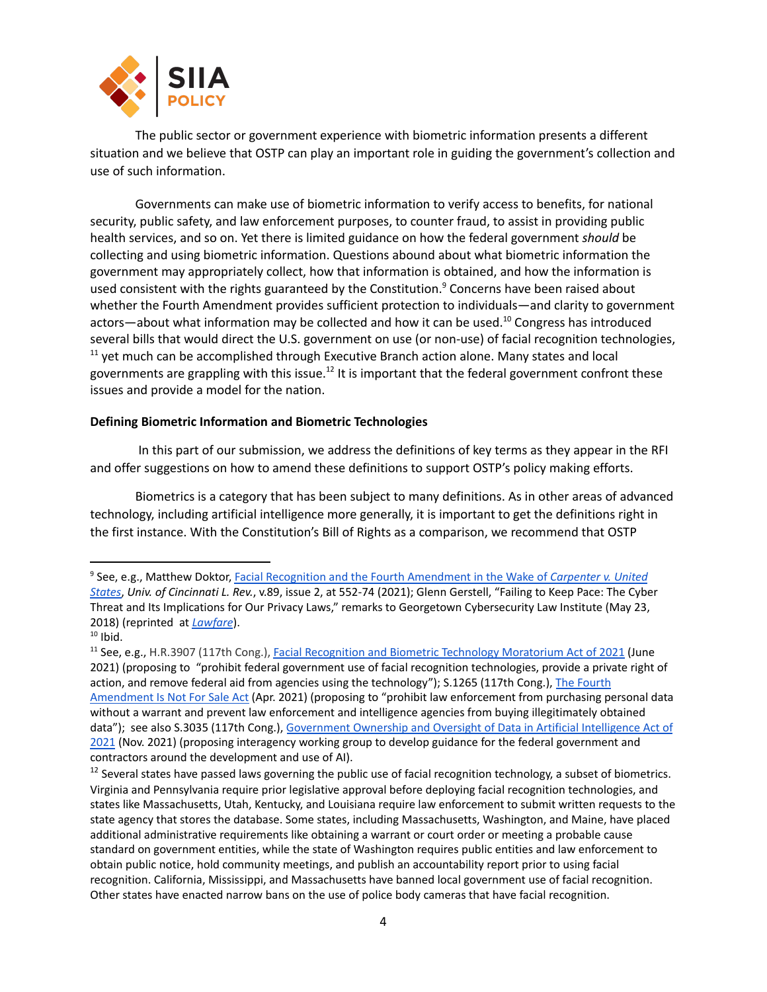

The public sector or government experience with biometric information presents a different situation and we believe that OSTP can play an important role in guiding the government's collection and use of such information.

Governments can make use of biometric information to verify access to benefits, for national security, public safety, and law enforcement purposes, to counter fraud, to assist in providing public health services, and so on. Yet there is limited guidance on how the federal government *should* be collecting and using biometric information. Questions abound about what biometric information the government may appropriately collect, how that information is obtained, and how the information is used consistent with the rights guaranteed by the Constitution.<sup>9</sup> Concerns have been raised about whether the Fourth Amendment provides sufficient protection to individuals—and clarity to government actors—about what information may be collected and how it can be used.<sup>10</sup> Congress has introduced several bills that would direct the U.S. government on use (or non-use) of facial recognition technologies,  $11$  yet much can be accomplished through Executive Branch action alone. Many states and local governments are grappling with this issue.<sup>12</sup> It is important that the federal government confront these issues and provide a model for the nation.

#### **Defining Biometric Information and Biometric Technologies**

In this part of our submission, we address the definitions of key terms as they appear in the RFI and offer suggestions on how to amend these definitions to support OSTP's policy making efforts.

Biometrics is a category that has been subject to many definitions. As in other areas of advanced technology, including artificial intelligence more generally, it is important to get the definitions right in the first instance. With the Constitution's Bill of Rights as a comparison, we recommend that OSTP

<sup>9</sup> See, e.g., Matthew Doktor, Facial Recognition and the Fourth [Amendment](https://scholarship.law.uc.edu/cgi/viewcontent.cgi?article=1391&context=uclr) in the Wake of *Carpenter v. United [States](https://scholarship.law.uc.edu/cgi/viewcontent.cgi?article=1391&context=uclr)*, *Univ. of Cincinnati L. Rev.*, v.89, issue 2, at 552-74 (2021); Glenn Gerstell, "Failing to Keep Pace: The Cyber Threat and Its Implications for Our Privacy Laws," remarks to Georgetown Cybersecurity Law Institute (May 23, 2018) (reprinted at *[Lawfare](https://www.lawfareblog.com/nsa-general-counsel-glenn-gerstell-remarks-georgetown-cybersecurity-law-institute)*).

 $10$  Ibid.

<sup>&</sup>lt;sup>11</sup> See, e.g., H.R.3907 (117th Cong.), **Facial Recognition and Biometric Technology [Moratorium](https://www.congress.gov/bill/117th-congress/house-bill/3907/text) Act of 2021 (June** 2021) (proposing to "prohibit federal government use of facial recognition technologies, provide a private right of action, and remove federal aid from agencies using the technology"); S.1265 (117th Cong.), The [Fourth](https://www.congress.gov/bill/117th-congress/senate-bill/1265/actions) [Amendment](https://www.congress.gov/bill/117th-congress/senate-bill/1265/actions) Is Not For Sale Act (Apr. 2021) (proposing to "prohibit law enforcement from purchasing personal data without a warrant and prevent law enforcement and intelligence agencies from buying illegitimately obtained data"); see also S.3035 (117th Cong.), [Government](https://www.congress.gov/bill/117th-congress/senate-bill/3035/) Ownership and Oversight of Data in Artificial Intelligence Act of [2021](https://www.congress.gov/bill/117th-congress/senate-bill/3035/) (Nov. 2021) (proposing interagency working group to develop guidance for the federal government and contractors around the development and use of AI).

<sup>&</sup>lt;sup>12</sup> Several states have passed laws governing the public use of facial recognition technology, a subset of biometrics. Virginia and Pennsylvania require prior legislative approval before deploying facial recognition technologies, and states like Massachusetts, Utah, Kentucky, and Louisiana require law enforcement to submit written requests to the state agency that stores the database. Some states, including Massachusetts, Washington, and Maine, have placed additional administrative requirements like obtaining a warrant or court order or meeting a probable cause standard on government entities, while the state of Washington requires public entities and law enforcement to obtain public notice, hold community meetings, and publish an accountability report prior to using facial recognition. California, Mississippi, and Massachusetts have banned local government use of facial recognition. Other states have enacted narrow bans on the use of police body cameras that have facial recognition.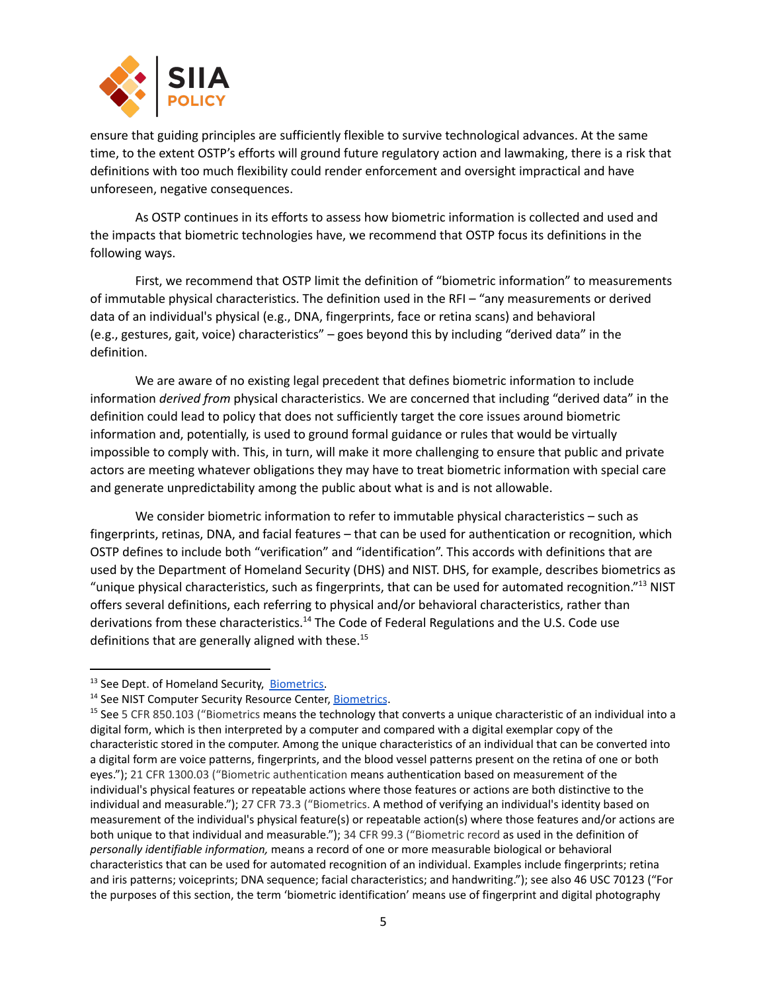

ensure that guiding principles are sufficiently flexible to survive technological advances. At the same time, to the extent OSTP's efforts will ground future regulatory action and lawmaking, there is a risk that definitions with too much flexibility could render enforcement and oversight impractical and have unforeseen, negative consequences.

As OSTP continues in its efforts to assess how biometric information is collected and used and the impacts that biometric technologies have, we recommend that OSTP focus its definitions in the following ways.

First, we recommend that OSTP limit the definition of "biometric information" to measurements of immutable physical characteristics. The definition used in the RFI – "any measurements or derived data of an individual's physical (e.g., DNA, fingerprints, face or retina scans) and behavioral (e.g., gestures, gait, voice) characteristics" – goes beyond this by including "derived data" in the definition.

We are aware of no existing legal precedent that defines biometric information to include information *derived from* physical characteristics. We are concerned that including "derived data" in the definition could lead to policy that does not sufficiently target the core issues around biometric information and, potentially, is used to ground formal guidance or rules that would be virtually impossible to comply with. This, in turn, will make it more challenging to ensure that public and private actors are meeting whatever obligations they may have to treat biometric information with special care and generate unpredictability among the public about what is and is not allowable.

We consider biometric information to refer to immutable physical characteristics – such as fingerprints, retinas, DNA, and facial features – that can be used for authentication or recognition, which OSTP defines to include both "verification" and "identification". This accords with definitions that are used by the Department of Homeland Security (DHS) and NIST. DHS, for example, describes biometrics as "unique physical characteristics, such as fingerprints, that can be used for automated recognition."<sup>13</sup> NIST offers several definitions, each referring to physical and/or behavioral characteristics, rather than derivations from these characteristics.<sup>14</sup> The Code of Federal Regulations and the U.S. Code use definitions that are generally aligned with these.<sup>15</sup>

<sup>&</sup>lt;sup>13</sup> See Dept. of Homeland Security, **Biometrics**.

<sup>&</sup>lt;sup>14</sup> See NIST Computer Security Resource Center, [Biometrics](https://csrc.nist.gov/topics/technologies/biometrics).

<sup>&</sup>lt;sup>15</sup> See 5 CFR 850.103 ("Biometrics means the technology that converts a unique characteristic of an individual into a digital form, which is then interpreted by a computer and compared with a digital exemplar copy of the characteristic stored in the computer. Among the unique characteristics of an individual that can be converted into a digital form are voice patterns, fingerprints, and the blood vessel patterns present on the retina of one or both eyes."); 21 CFR 1300.03 ("Biometric authentication means authentication based on measurement of the individual's physical features or repeatable actions where those features or actions are both distinctive to the individual and measurable."); 27 CFR 73.3 ("Biometrics. A method of verifying an individual's identity based on measurement of the individual's physical feature(s) or repeatable action(s) where those features and/or actions are both unique to that individual and measurable."); 34 CFR 99.3 ("Biometric record as used in the definition of *personally identifiable information,* means a record of one or more measurable biological or behavioral characteristics that can be used for automated recognition of an individual. Examples include fingerprints; retina and iris patterns; voiceprints; DNA sequence; facial characteristics; and handwriting."); see also 46 USC 70123 ("For the purposes of this section, the term 'biometric identification' means use of fingerprint and digital photography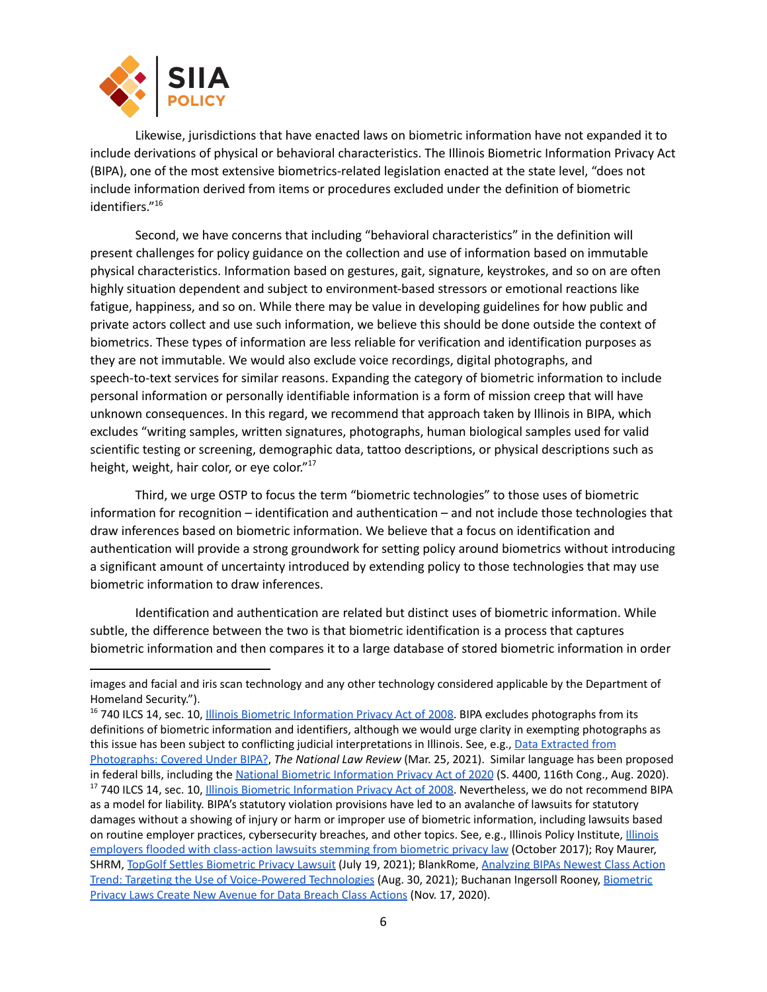

Likewise, jurisdictions that have enacted laws on biometric information have not expanded it to include derivations of physical or behavioral characteristics. The Illinois Biometric Information Privacy Act (BIPA), one of the most extensive biometrics-related legislation enacted at the state level, "does not include information derived from items or procedures excluded under the definition of biometric identifiers." 16

Second, we have concerns that including "behavioral characteristics" in the definition will present challenges for policy guidance on the collection and use of information based on immutable physical characteristics. Information based on gestures, gait, signature, keystrokes, and so on are often highly situation dependent and subject to environment-based stressors or emotional reactions like fatigue, happiness, and so on. While there may be value in developing guidelines for how public and private actors collect and use such information, we believe this should be done outside the context of biometrics. These types of information are less reliable for verification and identification purposes as they are not immutable. We would also exclude voice recordings, digital photographs, and speech-to-text services for similar reasons. Expanding the category of biometric information to include personal information or personally identifiable information is a form of mission creep that will have unknown consequences. In this regard, we recommend that approach taken by Illinois in BIPA, which excludes "writing samples, written signatures, photographs, human biological samples used for valid scientific testing or screening, demographic data, tattoo descriptions, or physical descriptions such as height, weight, hair color, or eye color."<sup>17</sup>

Third, we urge OSTP to focus the term "biometric technologies" to those uses of biometric information for recognition – identification and authentication – and not include those technologies that draw inferences based on biometric information. We believe that a focus on identification and authentication will provide a strong groundwork for setting policy around biometrics without introducing a significant amount of uncertainty introduced by extending policy to those technologies that may use biometric information to draw inferences.

Identification and authentication are related but distinct uses of biometric information. While subtle, the difference between the two is that biometric identification is a process that captures biometric information and then compares it to a large database of stored biometric information in order

images and facial and iris scan technology and any other technology considered applicable by the Department of Homeland Security.").

<sup>&</sup>lt;sup>17</sup> 740 ILCS 14, sec. 10, Illinois Biometric [Information](https://www.ilga.gov/legislation/ilcs/ilcs3.asp?ActID=3004&ChapterID=57) Privacy Act of 2008. Nevertheless, we do not recommend BIPA as a model for liability. BIPA's statutory violation provisions have led to an avalanche of lawsuits for statutory damages without a showing of injury or harm or improper use of biometric information, including lawsuits based on routine employer practices, cybersecurity breaches, and other topics. See, e.g., Illinois Policy Institute, [Illinois](https://www.illinoispolicy.org/illinois-employers-flooded-with-class-action-lawsuits-stemming-from-biometric-privacy-law/) employers flooded with [class-action](https://www.illinoispolicy.org/illinois-employers-flooded-with-class-action-lawsuits-stemming-from-biometric-privacy-law/) lawsuits stemming from biometric privacy law (October 2017); Roy Maurer, SHRM, TopGolf Settles [Biometric](https://www.shrm.org/resourcesandtools/hr-topics/technology/pages/topgolf-settles-biometric-privacy-lawsuit.aspx) Privacy Lawsuit (July 19, 2021); BlankRome, [Analyzing](https://www.blankrome.com/publications/analyzing-bipas-newest-class-action-trend-targeting-use-voice-powered-technologies) BIPAs Newest Class Action Trend: Targeting the Use of [Voice-Powered](https://www.blankrome.com/publications/analyzing-bipas-newest-class-action-trend-targeting-use-voice-powered-technologies) Technologies (Aug. 30, 2021); Buchanan Ingersoll Rooney, [Biometric](https://www.bipc.com/biometric-privacy-laws-create-new-avenue-for-data-breach-class-actions) Privacy Laws Create New [Avenue](https://www.bipc.com/biometric-privacy-laws-create-new-avenue-for-data-breach-class-actions) for Data Breach Class Actions (Nov. 17, 2020). <sup>16</sup> 740 ILCS 14, sec. 10, Illinois Biometric [Information](https://www.ilga.gov/legislation/ilcs/ilcs3.asp?ActID=3004&ChapterID=57) Privacy Act of 2008. BIPA excludes photographs from its definitions of biometric information and identifiers, although we would urge clarity in exempting photographs as this issue has been subject to conflicting judicial interpretations in Illinois. See, e.g., Data [Extracted](https://www.natlawreview.com/article/data-extracted-photographs-covered-under-bipa) from [Photographs:](https://www.natlawreview.com/article/data-extracted-photographs-covered-under-bipa) Covered Under BIPA?, *The National Law Review* (Mar. 25, 2021). Similar language has been proposed in federal bills, including the National Biometric [Information](https://www.congress.gov/bill/116th-congress/senate-bill/4400/text) Privacy Act of 2020 (S. 4400, 116th Cong., Aug. 2020).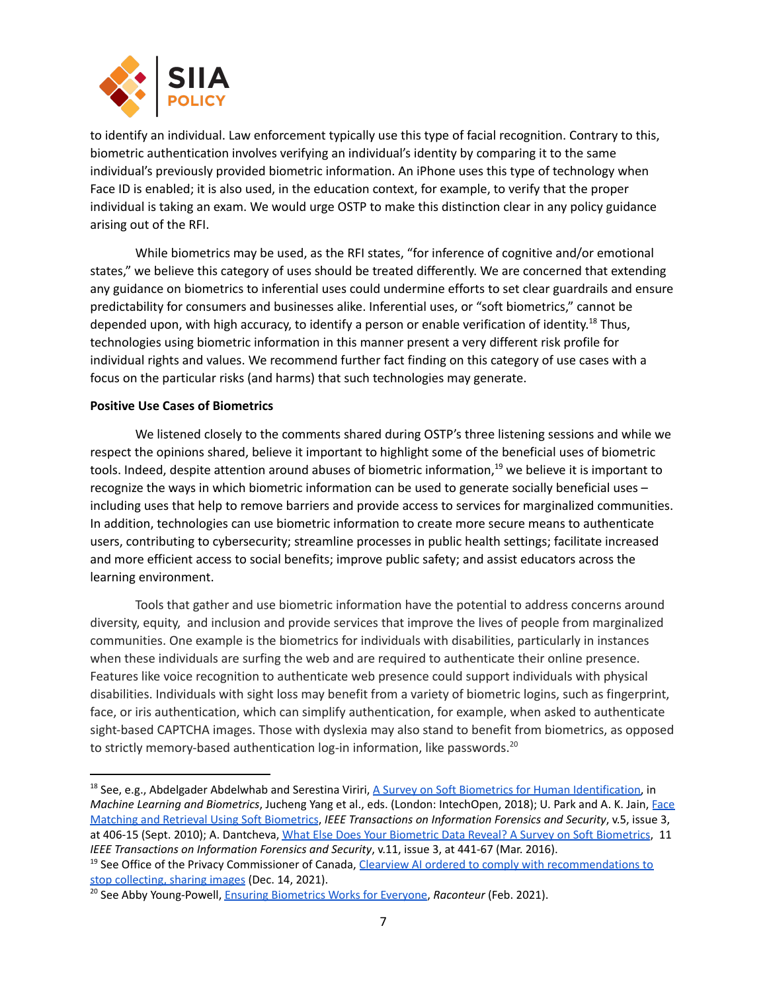

to identify an individual. Law enforcement typically use this type of facial recognition. Contrary to this, biometric authentication involves verifying an individual's identity by comparing it to the same individual's previously provided biometric information. An iPhone uses this type of technology when Face ID is enabled; it is also used, in the education context, for example, to verify that the proper individual is taking an exam. We would urge OSTP to make this distinction clear in any policy guidance arising out of the RFI.

While biometrics may be used, as the RFI states, "for inference of cognitive and/or emotional states," we believe this category of uses should be treated differently. We are concerned that extending any guidance on biometrics to inferential uses could undermine efforts to set clear guardrails and ensure predictability for consumers and businesses alike. Inferential uses, or "soft biometrics," cannot be depended upon, with high accuracy, to identify a person or enable verification of identity.<sup>18</sup> Thus, technologies using biometric information in this manner present a very different risk profile for individual rights and values. We recommend further fact finding on this category of use cases with a focus on the particular risks (and harms) that such technologies may generate.

# **Positive Use Cases of Biometrics**

We listened closely to the comments shared during OSTP's three listening sessions and while we respect the opinions shared, believe it important to highlight some of the beneficial uses of biometric tools. Indeed, despite attention around abuses of biometric information,<sup>19</sup> we believe it is important to recognize the ways in which biometric information can be used to generate socially beneficial uses – including uses that help to remove barriers and provide access to services for marginalized communities. In addition, technologies can use biometric information to create more secure means to authenticate users, contributing to cybersecurity; streamline processes in public health settings; facilitate increased and more efficient access to social benefits; improve public safety; and assist educators across the learning environment.

Tools that gather and use biometric information have the potential to address concerns around diversity, equity, and inclusion and provide services that improve the lives of people from marginalized communities. One example is the biometrics for individuals with disabilities, particularly in instances when these individuals are surfing the web and are required to authenticate their online presence. Features like voice recognition to authenticate web presence could support individuals with physical disabilities. Individuals with sight loss may benefit from a variety of biometric logins, such as fingerprint, face, or iris authentication, which can simplify authentication, for example, when asked to authenticate sight-based CAPTCHA images. Those with dyslexia may also stand to benefit from biometrics, as opposed to strictly memory-based authentication log-in information, like passwords.<sup>20</sup>

<sup>19</sup> See Office of the Privacy Commissioner of Canada, Clearview AI ordered to comply with [recommendations](https://www.priv.gc.ca/en/opc-news/news-and-announcements/2021/an_211214/) to stop [collecting,](https://www.priv.gc.ca/en/opc-news/news-and-announcements/2021/an_211214/) sharing images (Dec. 14, 2021).

<sup>&</sup>lt;sup>18</sup> See, e.g., Abdelgader Abdelwhab and Serestina Viriri, A Survey on Soft Biometrics for Human [Identification,](https://doi.org/10.5772/intechopen.76021) in *Machine Learning and Biometrics*, Jucheng Yang et al., eds. (London: IntechOpen, 2018); U. Park and A. K. Jain, [Face](https://doi.org/10.1109/%20TIFS.2010.2049842) Matching and Retrieval Using Soft [Biometrics](https://doi.org/10.1109/%20TIFS.2010.2049842), *IEEE Transactions on Information Forensics and Security*, v.5, issue 3, at 406-15 (Sept. 2010); A. Dantcheva, What Else Does Your Biometric Data Reveal? A Survey on Soft [Biometrics](https://doi.org/10.1109/TIFS.2015.2480381), 11 *IEEE Transactions on Information Forensics and Security*, v.11, issue 3, at 441-67 (Mar. 2016).

<sup>&</sup>lt;sup>20</sup> See Abby Young-Powell, **Ensuring [Biometrics](https://www.raconteur.net/hr/diversity-inclusion/ensuring-biometrics-work-for-everyone/) Works for Everyone**, *Raconteur* (Feb. 2021).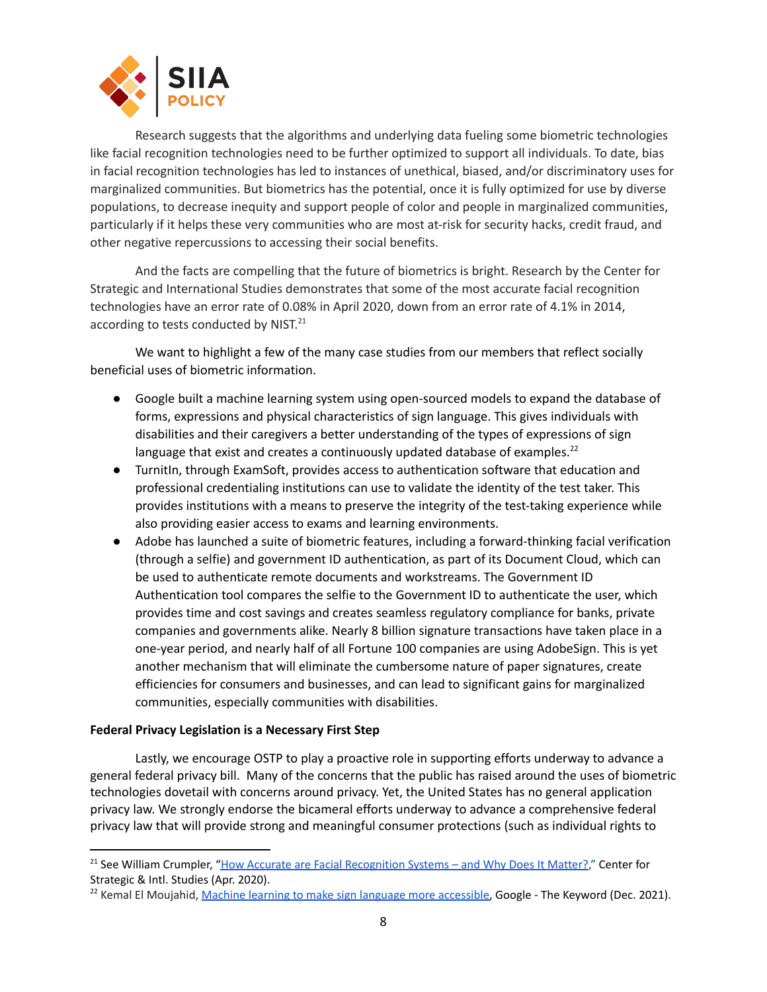

Research suggests that the algorithms and underlying data fueling some biometric technologies like facial recognition technologies need to be further optimized to support all individuals. To date, bias in facial recognition technologies has led to instances of unethical, biased, and/or discriminatory uses for marginalized communities. But biometrics has the potential, once it is fully optimized for use by diverse populations, to decrease inequity and support people of color and people in marginalized communities, particularly if it helps these very communities who are most at-risk for security hacks, credit fraud, and other negative repercussions to accessing their social benefits.

And the facts are compelling that the future of biometrics is bright. Research by the Center for Strategic and International Studies demonstrates that some of the most accurate facial recognition technologies have an error rate of 0.08% in April 2020, down from an error rate of 4.1% in 2014, according to tests conducted by NIST.<sup>21</sup>

We want to highlight a few of the many case studies from our members that reflect socially beneficial uses of biometric information.

- Google built a machine learning system using open-sourced models to expand the database of forms, expressions and physical characteristics of sign language. This gives individuals with disabilities and their caregivers a better understanding of the types of expressions of sign language that exist and creates a continuously updated database of examples.<sup>22</sup>
- TurnitIn, through ExamSoft, provides access to authentication software that education and professional credentialing institutions can use to validate the identity of the test taker. This provides institutions with a means to preserve the integrity of the test-taking experience while also providing easier access to exams and learning environments.
- Adobe has launched a suite of biometric features, including a forward-thinking facial verification (through a selfie) and government ID authentication, as part of its Document Cloud, which can be used to authenticate remote documents and workstreams. The Government ID Authentication tool compares the selfie to the Government ID to authenticate the user, which provides time and cost savings and creates seamless regulatory compliance for banks, private companies and governments alike. Nearly 8 billion signature transactions have taken place in a one-year period, and nearly half of all Fortune 100 companies are using AdobeSign. This is yet another mechanism that will eliminate the cumbersome nature of paper signatures, create efficiencies for consumers and businesses, and can lead to significant gains for marginalized communities, especially communities with disabilities.

# **Federal Privacy Legislation is a Necessary First Step**

Lastly, we encourage OSTP to play a proactive role in supporting efforts underway to advance a general federal privacy bill. Many of the concerns that the public has raised around the uses of biometric technologies dovetail with concerns around privacy. Yet, the United States has no general application privacy law. We strongly endorse the bicameral efforts underway to advance a comprehensive federal privacy law that will provide strong and meaningful consumer protections (such as individual rights to

<sup>&</sup>lt;sup>21</sup> See William Crumpler, "How Accurate are Facial [Recognition](https://www.csis.org/blogs/technology-policy-blog/how-accurate-are-facial-recognition-systems-%E2%80%93-and-why-does-it-matter) Systems – and Why Does It Matter?," Center for Strategic & Intl. Studies (Apr. 2020).

<sup>&</sup>lt;sup>22</sup> Kemal El Moujahid, Machine learning to make sign language more [accessible,](https://blog.google/outreach-initiatives/accessibility/ml-making-sign-language-more-accessible/) Google - The Keyword (Dec. 2021).